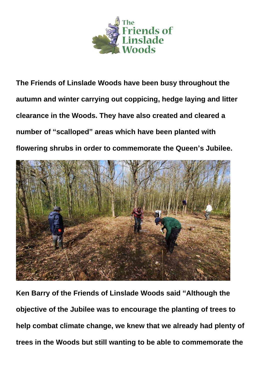

**The Friends of Linslade Woods have been busy throughout the autumn and winter carrying out coppicing, hedge laying and litter clearance in the Woods. They have also created and cleared a number of "scalloped" areas which have been planted with flowering shrubs in order to commemorate the Queen's Jubilee.**



**Ken Barry of the Friends of Linslade Woods said "Although the objective of the Jubilee was to encourage the planting of trees to help combat climate change, we knew that we already had plenty of trees in the Woods but still wanting to be able to commemorate the**